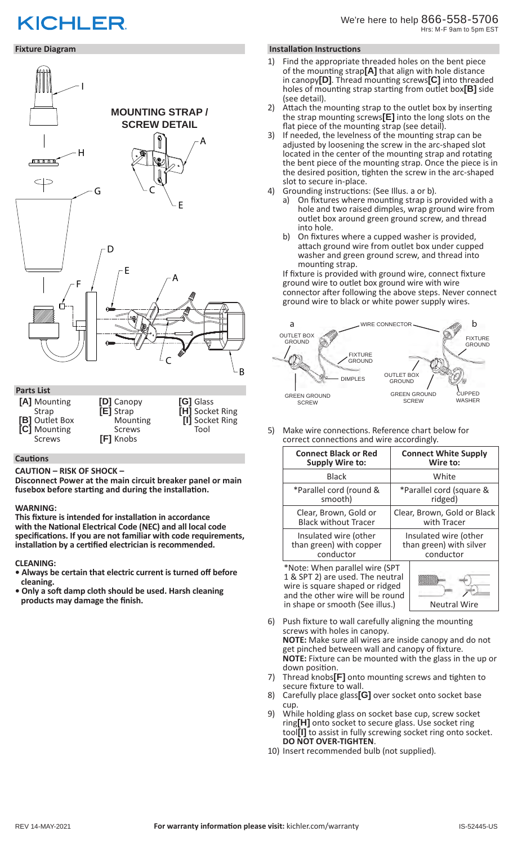# **KICHLER**

# **Fixture Diagram**



**[A]** Mounting Strap **[B]** Outlet Box<br>**[C]** Mounting **[C]** Mounting Screws **[D]** Canopy **[E]** Strap **Mounting** Screws **[F]** Knobs

**[G]** Glass **[H]** Socket Ring **[I]** Socket Ring Tool

### **Cautions**

### **CAUTION – RISK OF SHOCK –**

**Disconnect Power at the main circuit breaker panel or main fusebox before starting and during the installation.** 

### **WARNING:**

**This fixture is intended for installation in accordance with the National Electrical Code (NEC) and all local code specifications. If you are not familiar with code requirements, installation by a certified electrician is recommended.**

### **CLEANING:**

- **Always be certain that electric current is turned off before cleaning.**
- **Only a soft damp cloth should be used. Harsh cleaning products may damage the finish.**

# **Installation Instructions**

- Find the appropriate threaded holes on the bent piece of the mounting strap**[A]** that align with hole distance in canopy**[D]**. Thread mounting screws**[C]** into threaded holes of mounting strap starting from outlet box**[B]** side (see detail).
- 2) Attach the mounting strap to the outlet box by inserting the strap mounting screws**[E]** into the long slots on the flat piece of the mounting strap (see detail).
- 3) If needed, the levelness of the mounting strap can be adjusted by loosening the screw in the arc-shaped slot located in the center of the mounting strap and rotating the bent piece of the mounting strap. Once the piece is in the desired position, tighten the screw in the arc-shaped slot to secure in-place.
- 4) Grounding instructions: (See Illus. a or b).
	- a) On fixtures where mounting strap is provided with a hole and two raised dimples, wrap ground wire from outlet box around green ground screw, and thread into hole.
	- b) On fixtures where a cupped washer is provided, attach ground wire from outlet box under cupped washer and green ground screw, and thread into mounting strap.

If fixture is provided with ground wire, connect fixture ground wire to outlet box ground wire with wire connector after following the above steps. Never connect ground wire to black or white power supply wires.



5) Make wire connections. Reference chart below for correct connections and wire accordingly.

| <b>Connect Black or Red</b> | <b>Connect White Supply</b> |
|-----------------------------|-----------------------------|
| <b>Supply Wire to:</b>      | Wire to:                    |
| <b>Black</b>                | White                       |
| *Parallel cord (round &     | *Parallel cord (square &    |
| smooth)                     | ridged)                     |
| Clear, Brown, Gold or       | Clear, Brown, Gold or Black |
| <b>Black without Tracer</b> | with Tracer                 |
| Insulated wire (other       | Insulated wire (other       |
| than green) with copper     | than green) with silver     |
| conductor                   | conductor                   |

\*Note: When parallel wire (SPT 1 & SPT 2) are used. The neutral wire is square shaped or ridged and the other wire will be round in shape or smooth (See illus.)  $\vert$  Neutral Wire



- 6) Push fixture to wall carefully aligning the mounting screws with holes in canopy. **NOTE:** Make sure all wires are inside canopy and do not get pinched between wall and canopy of fixture. **NOTE:** Fixture can be mounted with the glass in the up or down position.
- 7) Thread knobs**[F]** onto mounting screws and tighten to secure fixture to wall.
- 8) Carefully place glass**[G]** over socket onto socket base cup.
- 9) While holding glass on socket base cup, screw socket ring**[H]** onto socket to secure glass. Use socket ring tool**[I]** to assist in fully screwing socket ring onto socket. **DO NOT OVER-TIGHTEN**.
- 10) Insert recommended bulb (not supplied).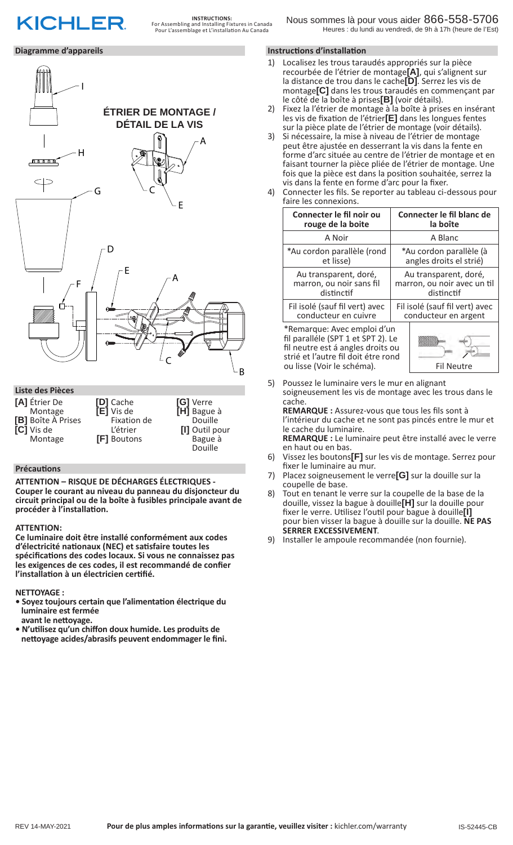# **KICHLER**

# **Diagramme d'appareils**



Douille **[I]** Outil pour Bague à Douille

## **Précautions**

**[C]** Vis de Montage

**ATTENTION – RISQUE DE DÉCHARGES ÉLECTRIQUES - Couper le courant au niveau du panneau du disjoncteur du circuit principal ou de la boîte à fusibles principale avant de procéder à l'installation.**

L'étrier **[F]** Boutons

## **ATTENTION:**

**Ce luminaire doit être installé conformément aux codes d'électricité nationaux (NEC) et satisfaire toutes les spécifications des codes locaux. Si vous ne connaissez pas les exigences de ces codes, il est recommandé de confier l'installation à un électricien certifié.**

**NETTOYAGE :** 

- **Soyez toujours certain que l'alimentation électrique du luminaire est fermée avant le nettoyage.**
- **N'utilisez qu'un chiffon doux humide. Les produits de nettoyage acides/abrasifs peuvent endommager le fini.**

# **Instructions d'installation**

- 1) Localisez les trous taraudés appropriés sur la pièce recourbée de l'étrier de montage**[A]**, qui s'alignent sur la distance de trou dans le cache**[D]**. Serrez les vis de montage**[C]** dans les trous taraudés en commençant par le côté de la boîte à prises**[B]** (voir détails).
- 2) Fixez la l'étrier de montage à la boîte à prises en insérant les vis de fixation de l'étrier**[E]** dans les longues fentes sur la pièce plate de l'étrier de montage (voir détails).
- 3) Si nécessaire, la mise à niveau de l'étrier de montage peut être ajustée en desserrant la vis dans la fente en forme d'arc située au centre de l'étrier de montage et en faisant tourner la pièce pliée de l'étrier de montage. Une fois que la pièce est dans la position souhaitée, serrez la vis dans la fente en forme d'arc pour la fixer.
- 4) Connecter les fils. Se reporter au tableau ci-dessous pour faire les connexions.

| Connecter le fil noir ou                                                                                                                                                    | Connecter le fil blanc de      |
|-----------------------------------------------------------------------------------------------------------------------------------------------------------------------------|--------------------------------|
| rouge de la boite                                                                                                                                                           | la boîte                       |
| A Noir                                                                                                                                                                      | A Blanc                        |
| *Au cordon parallèle (rond                                                                                                                                                  | *Au cordon parallèle (à        |
| et lisse)                                                                                                                                                                   | angles droits el strié)        |
| Au transparent, doré,                                                                                                                                                       | Au transparent, doré,          |
| marron, ou noir sans fil                                                                                                                                                    | marron, ou noir avec un til    |
| distinctif                                                                                                                                                                  | distinctif                     |
| Fil isolé (sauf fil vert) avec                                                                                                                                              | Fil isolé (sauf fil vert) avec |
| conducteur en cuivre                                                                                                                                                        | conducteur en argent           |
| *Remarque: Avec emploi d'un<br>fil paralléle (SPT 1 et SPT 2). Le<br>fil neutre est á angles droits ou<br>strié et l'autre fil doit étre rond<br>ou lisse (Voir le schéma). | <b>Fil Neutre</b>              |

5) Poussez le luminaire vers le mur en alignant soigneusement les vis de montage avec les trous dans le cache.

**REMARQUE :** Assurez-vous que tous les fils sont à l'intérieur du cache et ne sont pas pincés entre le mur et le cache du luminaire. **REMARQUE :** Le luminaire peut être installé avec le verre

en haut ou en bas.

- 6) Vissez les boutons**[F]** sur les vis de montage. Serrez pour fixer le luminaire au mur.
- 7) Placez soigneusement le verre**[G]** sur la douille sur la coupelle de base.
- 8) Tout en tenant le verre sur la coupelle de la base de la douille, vissez la bague à douille**[H]** sur la douille pour fixer le verre. Utilisez l'outil pour bague à douille**[I]** pour bien visser la bague à douille sur la douille. **NE PAS**
- 9) Installer le ampoule recommandée (non fournie).